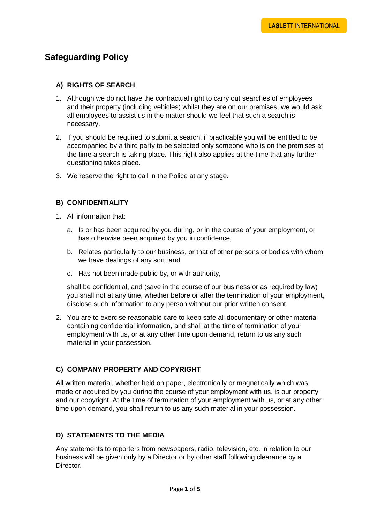# **Safeguarding Policy**

## **A) RIGHTS OF SEARCH**

- 1. Although we do not have the contractual right to carry out searches of employees and their property (including vehicles) whilst they are on our premises, we would ask all employees to assist us in the matter should we feel that such a search is necessary.
- 2. If you should be required to submit a search, if practicable you will be entitled to be accompanied by a third party to be selected only someone who is on the premises at the time a search is taking place. This right also applies at the time that any further questioning takes place.
- 3. We reserve the right to call in the Police at any stage.

### **B) CONFIDENTIALITY**

- 1. All information that:
	- a. Is or has been acquired by you during, or in the course of your employment, or has otherwise been acquired by you in confidence,
	- b. Relates particularly to our business, or that of other persons or bodies with whom we have dealings of any sort, and
	- c. Has not been made public by, or with authority,

shall be confidential, and (save in the course of our business or as required by law) you shall not at any time, whether before or after the termination of your employment, disclose such information to any person without our prior written consent.

2. You are to exercise reasonable care to keep safe all documentary or other material containing confidential information, and shall at the time of termination of your employment with us, or at any other time upon demand, return to us any such material in your possession.

## **C) COMPANY PROPERTY AND COPYRIGHT**

All written material, whether held on paper, electronically or magnetically which was made or acquired by you during the course of your employment with us, is our property and our copyright. At the time of termination of your employment with us, or at any other time upon demand, you shall return to us any such material in your possession.

## **D) STATEMENTS TO THE MEDIA**

Any statements to reporters from newspapers, radio, television, etc. in relation to our business will be given only by a Director or by other staff following clearance by a Director.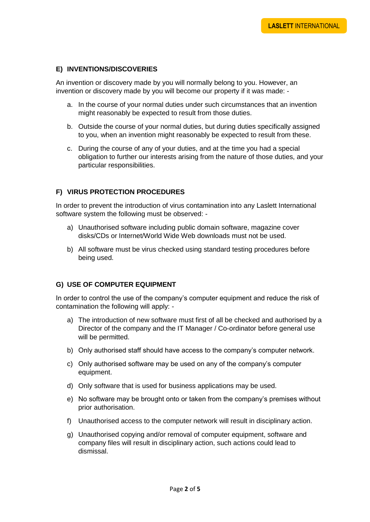## **E) INVENTIONS/DISCOVERIES**

An invention or discovery made by you will normally belong to you. However, an invention or discovery made by you will become our property if it was made: -

- a. In the course of your normal duties under such circumstances that an invention might reasonably be expected to result from those duties.
- b. Outside the course of your normal duties, but during duties specifically assigned to you, when an invention might reasonably be expected to result from these.
- c. During the course of any of your duties, and at the time you had a special obligation to further our interests arising from the nature of those duties, and your particular responsibilities.

## **F) VIRUS PROTECTION PROCEDURES**

In order to prevent the introduction of virus contamination into any Laslett International software system the following must be observed: -

- a) Unauthorised software including public domain software, magazine cover disks/CDs or Internet/World Wide Web downloads must not be used.
- b) All software must be virus checked using standard testing procedures before being used.

#### **G) USE OF COMPUTER EQUIPMENT**

In order to control the use of the company's computer equipment and reduce the risk of contamination the following will apply: -

- a) The introduction of new software must first of all be checked and authorised by a Director of the company and the IT Manager / Co-ordinator before general use will be permitted.
- b) Only authorised staff should have access to the company's computer network.
- c) Only authorised software may be used on any of the company's computer equipment.
- d) Only software that is used for business applications may be used.
- e) No software may be brought onto or taken from the company's premises without prior authorisation.
- f) Unauthorised access to the computer network will result in disciplinary action.
- g) Unauthorised copying and/or removal of computer equipment, software and company files will result in disciplinary action, such actions could lead to dismissal.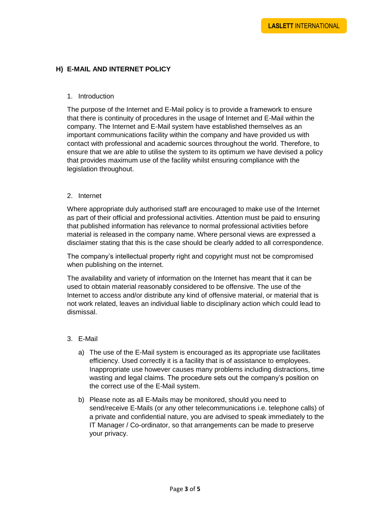## **H) E-MAIL AND INTERNET POLICY**

#### 1. Introduction

The purpose of the Internet and E-Mail policy is to provide a framework to ensure that there is continuity of procedures in the usage of Internet and E-Mail within the company. The Internet and E-Mail system have established themselves as an important communications facility within the company and have provided us with contact with professional and academic sources throughout the world. Therefore, to ensure that we are able to utilise the system to its optimum we have devised a policy that provides maximum use of the facility whilst ensuring compliance with the legislation throughout.

#### 2. Internet

Where appropriate duly authorised staff are encouraged to make use of the Internet as part of their official and professional activities. Attention must be paid to ensuring that published information has relevance to normal professional activities before material is released in the company name. Where personal views are expressed a disclaimer stating that this is the case should be clearly added to all correspondence.

The company's intellectual property right and copyright must not be compromised when publishing on the internet.

The availability and variety of information on the Internet has meant that it can be used to obtain material reasonably considered to be offensive. The use of the Internet to access and/or distribute any kind of offensive material, or material that is not work related, leaves an individual liable to disciplinary action which could lead to dismissal.

#### 3. E-Mail

- a) The use of the E-Mail system is encouraged as its appropriate use facilitates efficiency. Used correctly it is a facility that is of assistance to employees. Inappropriate use however causes many problems including distractions, time wasting and legal claims. The procedure sets out the company's position on the correct use of the E-Mail system.
- b) Please note as all E-Mails may be monitored, should you need to send/receive E-Mails (or any other telecommunications i.e. telephone calls) of a private and confidential nature, you are advised to speak immediately to the IT Manager / Co-ordinator, so that arrangements can be made to preserve your privacy.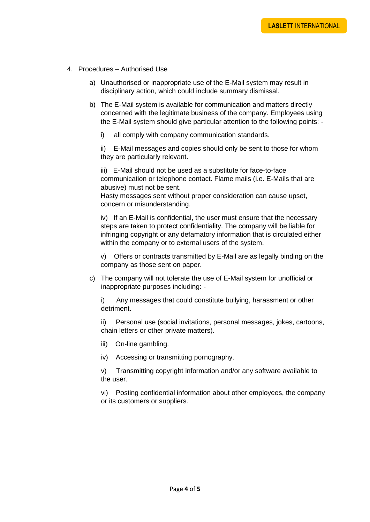- 4. Procedures Authorised Use
	- a) Unauthorised or inappropriate use of the E-Mail system may result in disciplinary action, which could include summary dismissal.
	- b) The E-Mail system is available for communication and matters directly concerned with the legitimate business of the company. Employees using the E-Mail system should give particular attention to the following points:
		- i) all comply with company communication standards.

ii) E-Mail messages and copies should only be sent to those for whom they are particularly relevant.

iii) E-Mail should not be used as a substitute for face-to-face communication or telephone contact. Flame mails (i.e. E-Mails that are abusive) must not be sent.

Hasty messages sent without proper consideration can cause upset, concern or misunderstanding.

iv) If an E-Mail is confidential, the user must ensure that the necessary steps are taken to protect confidentiality. The company will be liable for infringing copyright or any defamatory information that is circulated either within the company or to external users of the system.

v) Offers or contracts transmitted by E-Mail are as legally binding on the company as those sent on paper.

c) The company will not tolerate the use of E-Mail system for unofficial or inappropriate purposes including: -

i) Any messages that could constitute bullying, harassment or other detriment.

ii) Personal use (social invitations, personal messages, jokes, cartoons, chain letters or other private matters).

iii) On-line gambling.

iv) Accessing or transmitting pornography.

v) Transmitting copyright information and/or any software available to the user.

vi) Posting confidential information about other employees, the company or its customers or suppliers.